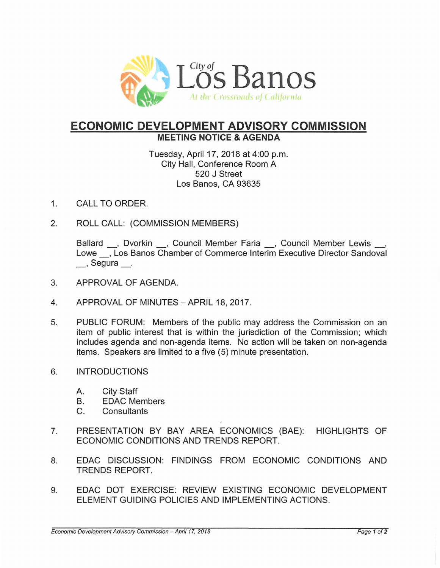

## **ECONOMIC DEVELOPMENT ADVISORY COMMISSION MEETING NOTICE & AGENDA**

Tuesday, April 17, 2018 at 4:00 p.m. City Hall, Conference Room A 520 J Street Los Banos, CA 93635

- 1. CALL TO ORDER.
- 2. ROLL CALL: (COMMISSION MEMBERS)

Ballard , Dvorkin , Council Member Faria , Council Member Lewis , Lowe , Los Banos Chamber of Commerce Interim Executive Director Sandoval \_\_, Segura \_\_.

- 3. APPROVAL OF AGENDA.
- 4. APPROVAL OF MINUTES-APRIL 18,2017.
- 5. PUBLIC FORUM: Members of the public may address the Commission on an item of public interest that is within the jurisdiction of the Commission; which includes agenda and non-agenda items. No action will be taken on non-agenda items. Speakers are limited to a five (5) minute presentation.
- 6. INTRODUCTIONS
	- A. City Staff
	- B. EDAC Members
	- C. Consultants
- 7. PRESENTATION BY BAY AREA ECONOMICS (BAE): HIGHLIGHTS OF ECONOMIC CONDITIONS AND TRENDS REPORT.
- 8. EDAC DISCUSSION: FINDINGS FROM ECONOMIC CONDITIONS AND TRENDS REPORT.
- 9. EDAC DOT EXERCISE: REVIEW EXISTING ECONOMIC DEVELOPMENT ELEMENT GUIDING POLICIES AND IMPLEMENTING ACTIONS.